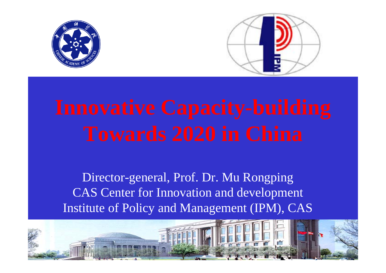



Director-general, Prof. Dr. Mu Rongping CAS Center for Innovation and development Institute of Policy and Management (IPM), CAS

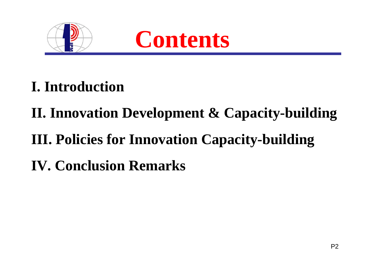



- **I. Introduction**
- **II. Innovation Development & Capacity-building**
- **III. Policies for Innovation Capacity-building**
- **IV. Conclusion Remarks**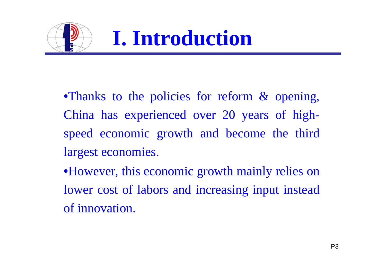

- •Thanks to the policies for reform & opening, China has experienced over 20 years of highspeed economic growth and become the third largest economies.
- •However, this economic growth mainly relies on lower cost of labors and increasing input instead of innovation.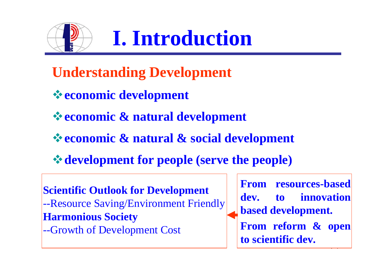

**I. Introduction** 

- **Understanding Development**
- **economic development**
- **economic & natural development**
- **economic & natural & social development**
- **development for people (serve the people)**

**Scientific Outlook for Development** --Resource Saving/Environment Friendly **Harmonious Society** --Growth of Development Cost

 $\overline{\phantom{a}}$ **From resources-based dev. to innovation based development. From reform & open to scientific dev.**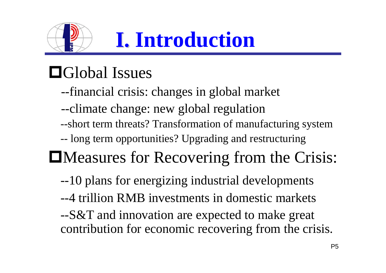

# Global Issues

- --financial crisis: changes in global market
- --climate change: new global regulation
- --short term threats? Transformation of manufacturing system
- -long term opportunities? Upgrading and restructuring

# Measures for Recovering from the Crisis:

- --10 plans for energizing industrial developments
- --4 trillion RMB investments in domestic markets

--S&T and innovation are expected to make great contribution for economic recovering from the crisis.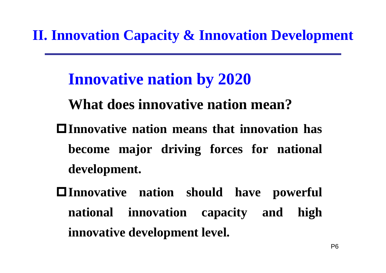- **Innovative nation by 2020**
- **What does innovative nation mean?**
- **Innovative nation means that innovation has become major driving forces for national development.**
- **Innovative nation should have powerful national innovation capacity and high innovative development level.**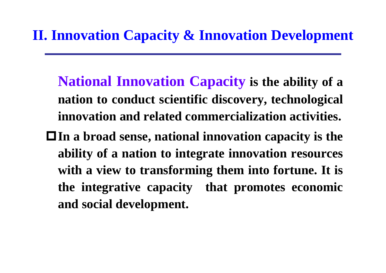- **National Innovation Capacity is the ability of a nation to conduct scientific discovery, technological innovation and related commercialization activities.**
- **In a broad sense, national innovation capacity is the ability of a nation to integrate innovation resources with a view to transforming them into fortune. It is the integrative capacity that promotes economic and social development.**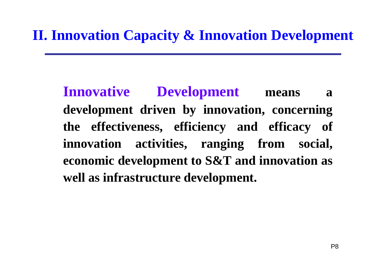**Innovative Development means a development driven by innovation, concerning the effectiveness, efficiency and efficacy of innovation activities, ranging from social, economic development to S&T and innovation as well as infrastructure development.**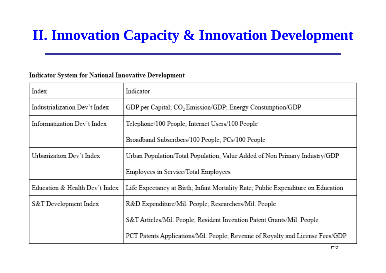#### Indicator System for National Innovative Development

| Index                          | Indicator                                                                        |  |  |  |
|--------------------------------|----------------------------------------------------------------------------------|--|--|--|
| Industrialization Dev't Index  | GDP per Capital; CO <sub>2</sub> Emission/GDP; Energy Consumption/GDP            |  |  |  |
| Informatization Dev't Index    | Telephone/100 People; Internet Users/100 People                                  |  |  |  |
|                                | Broadband Subscribers/100 People; PCs/100 People                                 |  |  |  |
| Urbanization Dev't Index       | Urban Population/Total Population; Value Added of Non Primary Industry/GDP       |  |  |  |
|                                | Employees in Service/Total Employees                                             |  |  |  |
| Education & Health Dev't Index | Life Expectancy at Birth; Infant Mortality Rate; Public Expenditure on Education |  |  |  |
| S&T Development Index          | R&D Expenditure/Mil. People; Researchers/Mil. People                             |  |  |  |
|                                | S&T Articles/Mil. People, Resident Invention Patent Grants/Mil. People           |  |  |  |
|                                | PCT Patents Applications/Mil. People; Revenue of Royalty and License Fees/GDP    |  |  |  |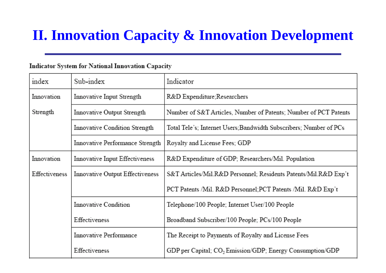#### Indicator System for National Innovation Capacity

| index                                            | Sub-index                       | Indicator                                                         |  |  |  |  |
|--------------------------------------------------|---------------------------------|-------------------------------------------------------------------|--|--|--|--|
| Innovation<br>Innovative Input Strength          |                                 | R&D Expenditure;Researchers                                       |  |  |  |  |
| Strength<br>Innovative Output Strength           |                                 | Number of S&T Articles, Number of Patents; Number of PCT Patents  |  |  |  |  |
|                                                  | Innovative Condition Strength   | Total Tele's; Internet Users;Bandwidth Subscribers; Number of PCs |  |  |  |  |
|                                                  | Innovative Performance Strength | Royalty and License Fees; GDP                                     |  |  |  |  |
| Innovation                                       | Innovative Input Effectiveness  | R&D Expenditure of GDP; Researchers/Mil. Population               |  |  |  |  |
| Effectiveness<br>Innovative Output Effectiveness |                                 | S&T Articles/Mil.R&D Personnel; Residents Patents/Mil.R&D Exp't   |  |  |  |  |
|                                                  |                                 | PCT Patents /Mil. R&D Personnel;PCT Patents /Mil. R&D Exp't       |  |  |  |  |
|                                                  | Innovative Condition            | Telephone/100 People; Internet User/100 People                    |  |  |  |  |
|                                                  | Effectiveness                   | Broadband Subscriber/100 People; PCs/100 People                   |  |  |  |  |
|                                                  | Innovative Performance          | The Receipt to Payments of Royalty and License Fees               |  |  |  |  |
|                                                  | Effectiveness                   | GDP per Capital; $CO2 Emission/GDP$ ; Energy Consumption/GDP      |  |  |  |  |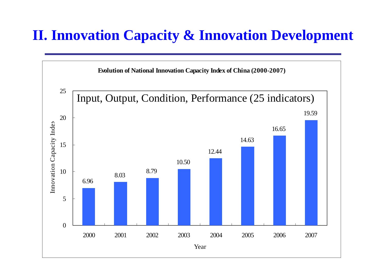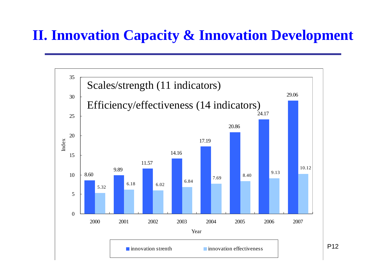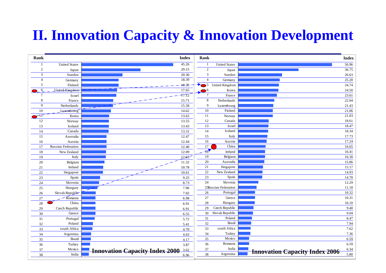| Rank           |                                | <b>Index</b>                                  | Rank                             |                                  | <b>Index</b>                                  |
|----------------|--------------------------------|-----------------------------------------------|----------------------------------|----------------------------------|-----------------------------------------------|
| $\mathbf{1}$   | <b>United States</b>           | 45.26                                         |                                  | <b>United States</b>             | 56.96                                         |
| $\mathbf{2}$   | Japan                          | 29.15                                         | 2                                | Japan                            | 36.75                                         |
| 3              | Sweden                         | 20.30                                         | 3                                | Sweden                           | 26.63                                         |
| $\overline{4}$ | Germany                        | 18.39                                         | $\overline{4}$                   | Germany                          | 25.20                                         |
| 5              | Finland                        | 18:35                                         | $\overline{\phantom{0}}$ 5<br>▸. | United Kingdom                   | 24.74                                         |
| 6              | LInited-Kingdom                | 17.65                                         | $\bullet$ <sup>6</sup>           | Korea                            | 24.50                                         |
| $\overline{7}$ | Israel                         | $-17.72$                                      | $\overline{7}$                   | France                           | 23.61                                         |
| 8              | France                         | 15.71                                         | 8                                | Netherlands                      | 22.04                                         |
| 9              | Netherlands                    | 15.58                                         | 9                                | Luxembourg                       | 21.43                                         |
| $10\,$         | Luxembourg                     | 14.62                                         | 10                               | Finland                          | 21.06                                         |
| ٦T             | Korea                          | 13.62                                         | -11                              | Norway                           | 21.03                                         |
| 12             | Norway                         | 13.55                                         | 12                               | Canada                           | 18.61                                         |
| 13             | Iceland                        | 13.43                                         | 13                               | Israel                           | 18.47                                         |
| 14             | Canada                         | 13.31                                         | 14                               | Iceland                          | 18.34                                         |
| 15             | Australia                      | 12.47                                         | 15                               | Italy                            | 17.73                                         |
| 16             | Austria                        | 12.44                                         | 16                               | Austria                          | 17.24                                         |
| 17             | <b>Russian Federation</b>      | 12.40                                         | 17                               | China                            | 16.65                                         |
| 18             | New Zealand                    | 12.09                                         | $-18$                            | Ireland                          | 16.41                                         |
| 19             | Italy                          | 12.03                                         | 19                               | Belgium                          | 16.30                                         |
| 20             | Belgium                        | 11.32                                         | 20                               | Australia                        | 15.86                                         |
| 21             | Ireland                        | 10.78                                         | 21                               | Singapore                        | 15.17                                         |
| 22             | Singapore                      | 10.61                                         | 22                               | New Zealand                      | 14.93                                         |
| 23             | Spain                          | 9.25                                          | 23                               | Spain<br>Slovenia                | 14.70                                         |
| 24             | Slovenia                       | 8.73                                          | 24                               |                                  | 12.29                                         |
| 25             | Hungary                        | 7.96                                          | 26                               | 25Russian Federation<br>Portugal | 11.18<br>10.32                                |
| 26             | Slovak Republie<br>$-$ Romania | 7.02                                          | $27\,$                           | Greece                           | 10.31                                         |
| 27             | China                          | 6.98                                          | 28                               | Hungary                          | 10.10                                         |
| 28<br>29       | Czech Republic                 | 6.91                                          | 29                               | Czech Republic                   | 9.40                                          |
| 30             | Greece                         | 6.91<br>6.55                                  | 30                               | Slovak Republic                  | 9.04                                          |
| 31             | Portugal                       | 5.72                                          | 31                               | Poland                           | 8.47                                          |
| 32             | Poland                         | 5.41                                          | 32                               | <b>Brazil</b>                    | 7.94                                          |
| 33             | south Africa                   | 4.70                                          | 33                               | south Africa                     | 7.62                                          |
| 34             | Argentina                      | 4.63                                          | 34                               | Turkey                           | 7.36                                          |
| 35             | <b>Brazil</b>                  | 4.17                                          | 35                               | Mexico                           | 6.59                                          |
| 36             | Turkey                         | 3.87                                          | 36                               | Romania                          | 6.59                                          |
| 37             | Mexico                         | 3.62                                          | 37                               | India                            | 6.34                                          |
| 38             | India                          | <b>Innovation Capacity Index 2000</b><br>6.96 | 38                               | Argentina                        | <b>Innovation Capacity Index 2006</b><br>5.80 |
|                |                                |                                               |                                  |                                  |                                               |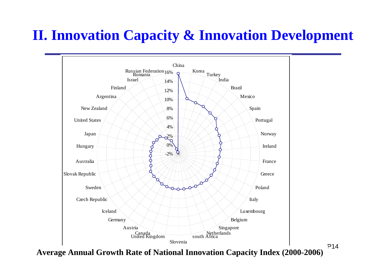

**Average Annual Growth Rate of National Innovation Capacity Index (2000-2006)**

P14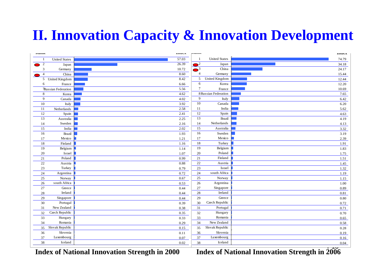| <b>IMAILB</b>  |                               | <b>LIIUUA</b> | <b>ANGLEEN</b> |                               | LIIUCA |
|----------------|-------------------------------|---------------|----------------|-------------------------------|--------|
|                | <b>United States</b>          | 57.03         | $\mathbf{1}$   | <b>United States</b>          | 74.79  |
| $\overline{2}$ | Japan                         | 26.39         | $\mathbf{r}$   | Japan                         | 34.18  |
| 3              | Germany                       | 10.72         | $\sqrt{3}$     | China                         | 24.17  |
| $\overline{4}$ | China                         | 8.60          | $\overline{4}$ | Germany                       | 15.44  |
|                | $\overline{5}$ United Kingdom | 8.42          | 5              | United Kingdom                | 12.44  |
| 6              | France                        | 6.66          | 6              | Korea                         | 12.20  |
|                | <b>Russian Federation</b>     | 5.56          | $\tau$         | France                        | 10.69  |
| 8              | Korea                         | 4.62          |                | 8 Russian Federation          | 7.65   |
| 9              | Canada                        | 4.02          | 9              | Italy                         | 6.42   |
| 10             | Italy                         | 3.92          | 10             | Canada                        | 6.20   |
| 11             | Netherlands                   | 2.58          | 11             | India                         | 5.62   |
| 12             | Spain                         | 2.41          | 12             | Spain                         | 4.63   |
| 13             | Australia                     | 2.25          | 13             | <b>Brazil</b>                 | 4.19   |
| 14             | Sweden                        | 2.16          | 14             | Netherlands                   | 4.13   |
| 15             | India                         | 2.02          | 15             | Australia                     | 3.32   |
| 16             | Brazil                        | 1.93          | 16             | ${\bf Sweden}$                | 3.19   |
| 17             | Mexico                        | 1.21          | 17             | Mexico                        | 2.39   |
| 18             | Finland                       | 1.16          | 18             | Turkey                        | 1.91   |
| 19             | Belgium                       | 1.14          | 19             | Belgium                       | 1.83   |
| 20             | Israel                        | 1.07          | 20             | Poland                        | 1.75   |
| 21             | Poland                        | 0.99          | 21             | $\operatorname{Fin}\nolimits$ | 1.51   |
| 22             | Austria                       | 0.88          | 22             | Austria                       | 1.45   |
| 23             | Turkey                        | 0.79          | 23             | Israel                        | 1.32   |
| 24             | Argentina                     | 0.72          | 24             | south Africa                  | 1.19   |
| 25             | Norway                        | 0.67          | 25             | Norway                        | 1.15   |
| 26             | south Africa                  | 0.53          | 26             | Argentina                     | 1.00   |
| 27             | Greece                        | 0.44          | 27             | Singapore                     | 0.89   |
| 28             | Ireland                       | 0.44          | 28             | Ireland                       | 0.81   |
| 29             | Singapore                     | 0.44          | 29             | Greece                        | 0.80   |
| 30             | Portugal                      | 0.39          | 30             | Czech Republic                | 0.72   |
| 31             | New Zealand                   | 0.38          | 31             | Portugal                      | 0.71   |
| 32             | Czech Republic                | 0.35          | 32             | Hungary                       | 0.70   |
| 33             | Hungary                       | 0.33          | 33             | Romania                       | 0.65   |
| 34             | Romania                       | 0.29          | 34             | New Zealand                   | 0.58   |
| 35             | Slovak Republic               | 0.15          | 35             | Slovak Republic               | 0.28   |
| 36             | Slovenia                      | 0.11          | 36             | Slovenia                      | 0.19   |
| 37             | Luxembourg                    | 0.07          | 37             | Luxembourg                    | 0.16   |
| 38             | Iceland                       | 0.02          | 38             | Iceland                       | 0.04   |

**Index of National Innovation Strength in 2000** *Index of National Innovation Strength in 2006*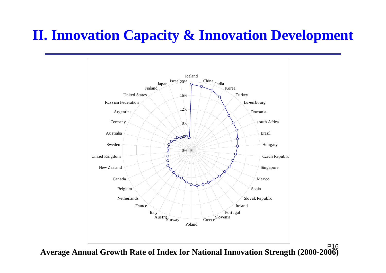

P16**Average Annual Growth Rate of Index for National Innovation Strength (2000-2006)**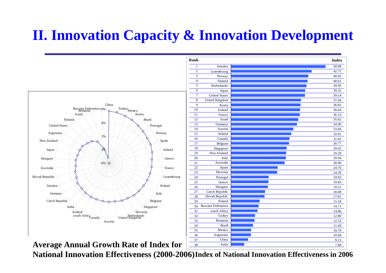

**Average Annual Growth Rate of Index for** 

National Innovation Effectiveness (2000-2006)Index of National Innovation Effectiveness in 2006

38

 $-7.06$ 

India dia amin'ny fivondronan-kaominin'i Communister ao Frantsa.<br>Ny INSEE dia mampiasa ny kaodim-paositra 61149. Ilay kaominina dia kaominina mpikambana amin'ny fivondronan-ka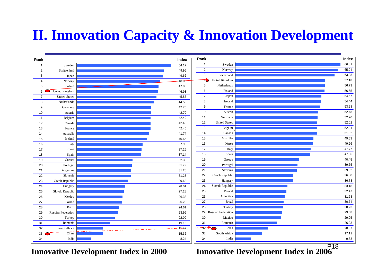| Rank           |                      | <b>Index</b> | Rank            |                       | Index |
|----------------|----------------------|--------------|-----------------|-----------------------|-------|
| $\overline{1}$ | Sweden               | 54.17        | $\mathbf{1}$    | Sweden                | 66.81 |
| $\overline{2}$ | Switzerland          | 49.96        | $\overline{2}$  | Norway                | 65.04 |
| $\mathbf{3}$   | Japan                | 49.62        | $\mathbf{3}$    | Switzerland           | 63.08 |
| $\overline{4}$ | Norway               | 48.03        | 40              | United Kingdom        | 57.18 |
| 5              | Finland              | 47.06        | $5\phantom{.0}$ | Netherlands           | 56.73 |
| 6              | United Kingdom       | 46.93        | 6               | Finland               | 56.65 |
| $\overline{7}$ | <b>United States</b> | 45.87        | $\overline{7}$  | Japan                 | 54.67 |
| 8              | Netherlands          | 44.53        | 8               | Ireland               | 54.44 |
| 9              | Germany              | 42.75        | 9               | France                | 53.98 |
| 10             | Austria              | 42.70        | 10              | Austria               | 52.48 |
| 11             | Belgium              | 42.49        | 11              | Germany               | 52.20 |
| 12             | Canada               | 42.48        | 12              | <b>United States</b>  | 52.02 |
| 13             | France               | 42.45        | 13              | Belgium               | 52.01 |
| 14             | Australia            | 41.74        | 14              | Canada                | 51.92 |
| 15             | Ireland              | 40.65        | 15              | Australia             | 49.53 |
| 16             | Italy                | 37.99        | 16              | Korea                 | 49.26 |
| 17             | Korea                | 37.26        | 17              | Italy                 | 47.77 |
| 18             | Spain                | 37.14        | 18              | Spain                 | 47.66 |
| 19             | Greece               | 32.30        | 19              | Greece                | 40.45 |
| 20             | Portugal             | 31.79        | 20              | Portugal              | 39.55 |
| 21             | Argentina            | 31.28        | 21              | Slovenia              | 39.02 |
| 22             | Slovenia             | 31.23        | 22              | Czech Republic        | 36.80 |
| 23             | Czech Republic       | 29.62        | 23              | Hungary               | 36.78 |
| 24             | Hungary              | 28.01        | 24              | Slovak Republic       | 33.18 |
| 25             | Slovak Republic      | 27.28        | 25              | Poland                | 32.47 |
| 26             | Mexico               | 26.38        | 26              | Argentina             | 31.63 |
| 27             | Poland               | 26.28        | 27              | Brazil                | 30.74 |
| 28             | Brazil               | 24.61        | 28              | Turkey                | 30.23 |
| 29             | Russian Federation   | 23.96        |                 | 29 Russian Federation | 29.68 |
| 30             | Turkey               | 22.09        | 30              | Mexico                | 29.05 |
| 31             | Romania              | 19.15        | 31              | Romania               | 26.23 |
| 32             | South Africa         | $.15 - 47$   | $-32$ $+$       | China                 | 20.87 |
| 33             | China <sup>®</sup>   | 15.36        | 33              | South Africa          | 17.11 |
| 34             | India                | 8.24         | 34              | India                 | 9.88  |

P18**Innovative Development Index in 2000 Innovative Development Index in 2006**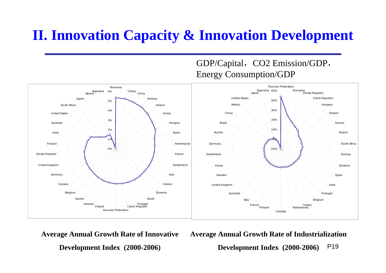

**Average Annual Growth Rate of Innovative** 

**Development Index (2000-2006)** 

**Average Annual Growth Rate of Industrialization** 

GDP/Capital, CO2 Emission/GDP,

P19**Development Index (2000-2006)**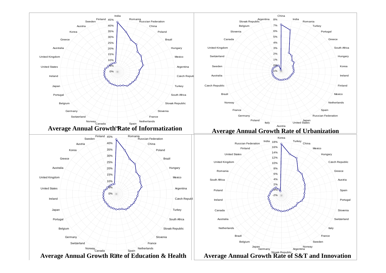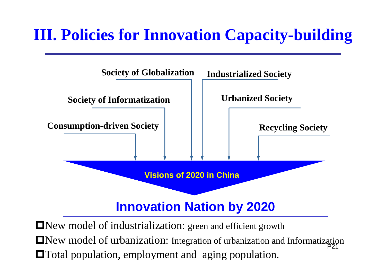

 $\blacksquare$ New model of urbanization: Integration of urbanization and Informatization New model of industrialization: green and efficient growth **The Total population, employment and aging population.**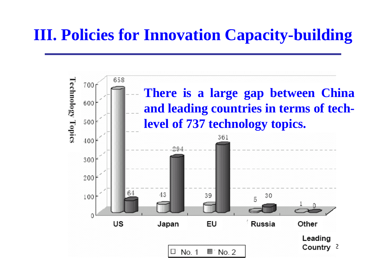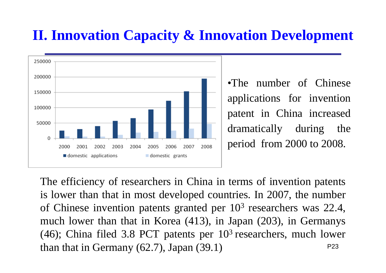

•The number of Chinese applications for invention patent in China increased dramatically during the period from 2000 to 2008.

P23The efficiency of researchers in China in terms of invention patents is lower than that in most developed countries. In 2007, the number of Chinese invention patents granted per 10 3 researchers was 22.4, much lower than that in Korea (413), in Japan (203), in Germanys (46); China filed 3.8 PCT patents per  $10<sup>3</sup>$  researchers, much lower than that in Germany (62.7), Japan (39.1)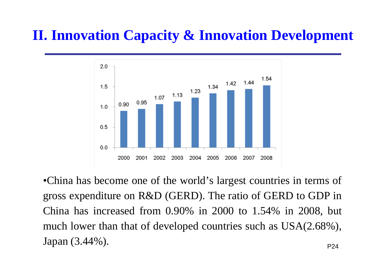

•China has become one of the world's largest countries in terms of gross expenditure on R&D (GERD). The ratio of GERD to GDP in China has increased from 0.90% in 2000 to 1.54% in 2008, but much lower than that of developed countries such as USA(2.68%), Japan (3.44%).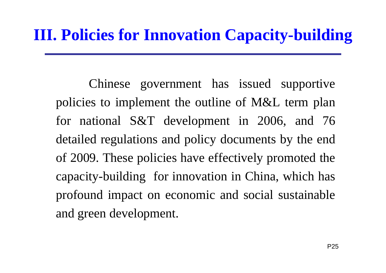Chinese government has issued supportive policies to implement the outline of M&L term plan for national S&T development in 2006, and 76 detailed regulations and policy documents by the end of 2009. These policies have effectively promoted the capacity-building for innovation in China, which has profound impact on economic and social sustainable and green development.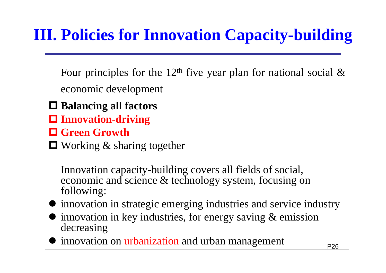Four principles for the 12<sup>th</sup> five year plan for national social  $\&$ economic development

- **Balancing all factors**
- **Innovation-driving**
- **Green Growth**

■ Working & sharing together

Innovation capacity-building covers all fields of social, economic and science & technology system, focusing on following:

- $\bullet$ innovation in strategic emerging industries and service industry
- $\bullet$  innovation in key industries, for energy saving & emission decreasing
- $\bullet$ innovation on urbanization and urban management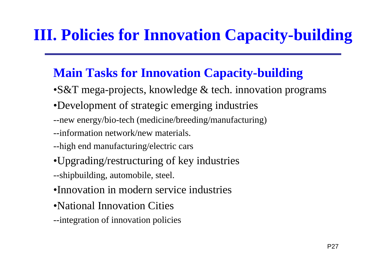#### **Main Tasks for Innovation Capacity-building**

- •S&T mega-projects, knowledge & tech. innovation programs
- •Development of strategic emerging industries
- --new energy/bio-tech (medicine/breeding/manufacturing)
- --information network/new materials.
- --high end manufacturing/electric cars
- •Upgrading/restructuring of key industries
- --shipbuilding, automobile, steel.
- •Innovation in modern service industries
- •National Innovation Cities
- --integration of innovation policies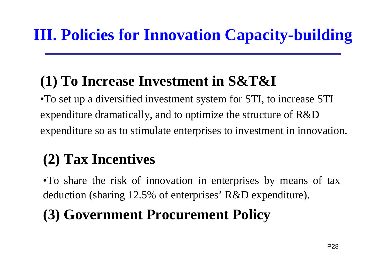## **(1) To Increase Investment in S&T&I**

•To set up a diversified investment system for STI, to increase STI expenditure dramatically, and to optimize the structure of R&D expenditure so as to stimulate enterprises to investment in innovation.

# **(2) Tax Incentives**

•To share the risk of innovation in enterprises by means of tax deduction (sharing 12.5% of enterprises' R&D expenditure).

# **(3) Government Procurement Policy**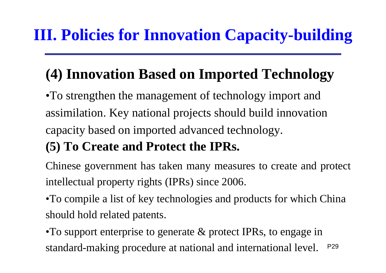# **(4) Innovation Based on Imported Technology**

•To strengthen the management of technology import and assimilation. Key national projects should build innovation capacity based on imported advanced technology.

#### **(5) To Create and Protect the IPRs.**

Chinese government has taken many measures to create and protect intellectual property rights (IPRs) since 2006.

•To compile a list of key technologies and products for which China should hold related patents.

P29•To support enterprise to generate & protect IPRs, to engage in standard-making procedure at national and international level.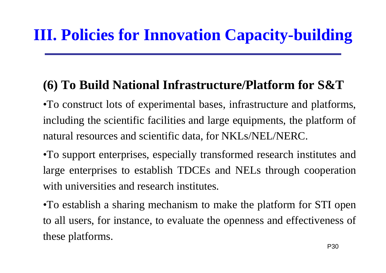#### **(6) To Build National Infrastructure/Platform for S&T**

•To construct lots of experimental bases, infrastructure and platforms, including the scientific facilities and large equipments, the platform of natural resources and scientific data, for NKLs/NEL/NERC.

•To support enterprises, especially transformed research institutes and large enterprises to establish TDCEs and NELs through cooperation with universities and research institutes.

•To establish a sharing mechanism to make the platform for STI open to all users, for instance, to evaluate the openness and effectiveness of these platforms.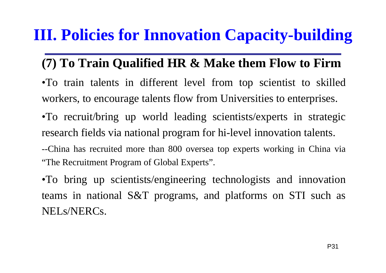#### **(7) To Train Qualified HR & Make them Flow to Firm**

- •To train talents in different level from top scientist to skilled workers, to encourage talents flow from Universities to enterprises.
- •To recruit/bring up world leading scientists/experts in strategic research fields via national program for hi-level innovation talents.
- --China has recruited more than 800 oversea top experts working in China via "The Recruitment Program of Global Experts".
- •To bring up scientists/engineering technologists and innovation teams in national S&T programs, and platforms on STI such as NELs/NERCs.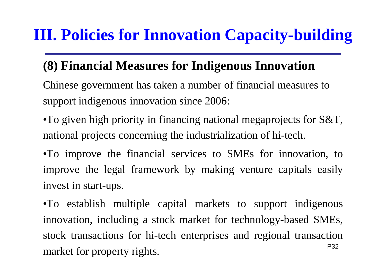#### **(8) Financial Measures for Indigenous Innovation**

- Chinese government has taken a number of financial measures to support indigenous innovation since 2006:
- •To given high priority in financing national megaprojects for S&T, national projects concerning the industrialization of hi-tech.
- •To improve the financial services to SMEs for innovation, to improve the legal framework by making venture capitals easily invest in start-ups.

P32•To establish multiple capital markets to support indigenous innovation, including a stock market for technology-based SMEs, stock transactions for hi-tech enterprises and regional transaction market for property rights.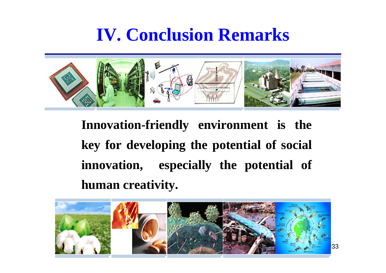# **IV. Conclusion Remarks**



**Innovation-friendly environment is the key for developing the potential of social innovation, especially the potential of human creativity.**